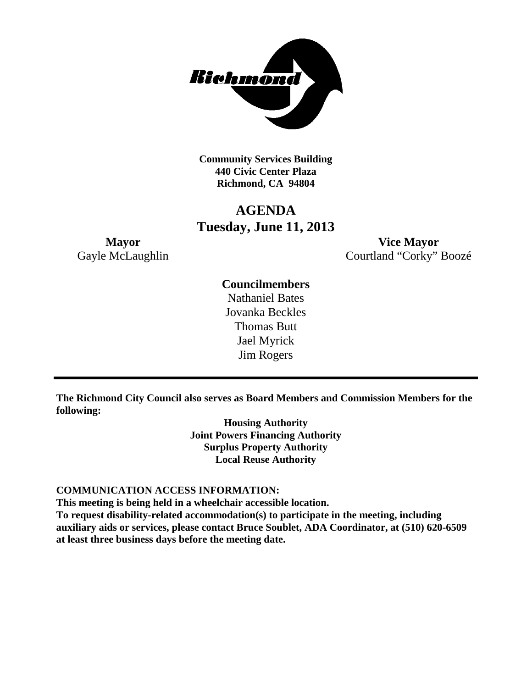

**Community Services Building 440 Civic Center Plaza Richmond, CA 94804**

## **AGENDA Tuesday, June 11, 2013**

**Mayor Vice Mayor** Gayle McLaughlin Courtland "Corky" Boozé

### **Councilmembers**

Nathaniel Bates Jovanka Beckles Thomas Butt Jael Myrick Jim Rogers

**The Richmond City Council also serves as Board Members and Commission Members for the following:**

> **Housing Authority Joint Powers Financing Authority Surplus Property Authority Local Reuse Authority**

#### **COMMUNICATION ACCESS INFORMATION:**

**This meeting is being held in a wheelchair accessible location.**

**To request disability-related accommodation(s) to participate in the meeting, including auxiliary aids or services, please contact Bruce Soublet, ADA Coordinator, at (510) 620-6509 at least three business days before the meeting date.**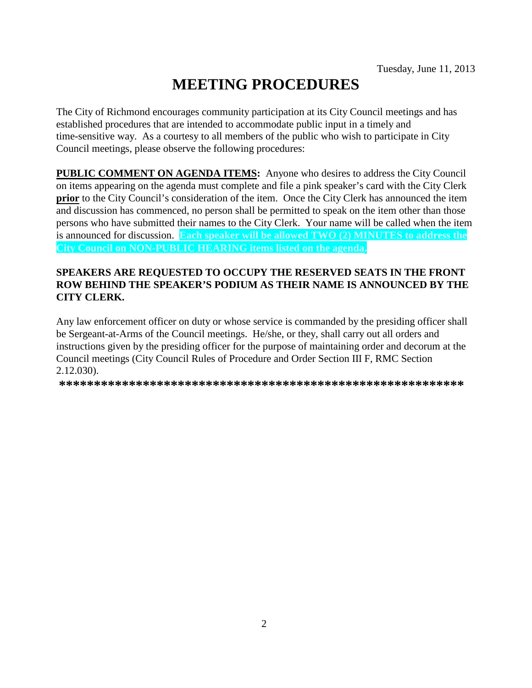# **MEETING PROCEDURES**

The City of Richmond encourages community participation at its City Council meetings and has established procedures that are intended to accommodate public input in a timely and time-sensitive way. As a courtesy to all members of the public who wish to participate in City Council meetings, please observe the following procedures:

**PUBLIC COMMENT ON AGENDA ITEMS:** Anyone who desires to address the City Council on items appearing on the agenda must complete and file a pink speaker's card with the City Clerk **prior** to the City Council's consideration of the item. Once the City Clerk has announced the item and discussion has commenced, no person shall be permitted to speak on the item other than those persons who have submitted their names to the City Clerk. Your name will be called when the item is announced for discussion. **Each speaker will be allowed TWO (2) MINUTES to address the City Council on NON-PUBLIC HEARING items listed on the agenda.**

#### **SPEAKERS ARE REQUESTED TO OCCUPY THE RESERVED SEATS IN THE FRONT ROW BEHIND THE SPEAKER'S PODIUM AS THEIR NAME IS ANNOUNCED BY THE CITY CLERK.**

Any law enforcement officer on duty or whose service is commanded by the presiding officer shall be Sergeant-at-Arms of the Council meetings. He/she, or they, shall carry out all orders and instructions given by the presiding officer for the purpose of maintaining order and decorum at the Council meetings (City Council Rules of Procedure and Order Section III F, RMC Section 2.12.030).

**\*\*\*\*\*\*\*\*\*\*\*\*\*\*\*\*\*\*\*\*\*\*\*\*\*\*\*\*\*\*\*\*\*\*\*\*\*\*\*\*\*\*\*\*\*\*\*\*\*\*\*\*\*\*\*\*\*\***